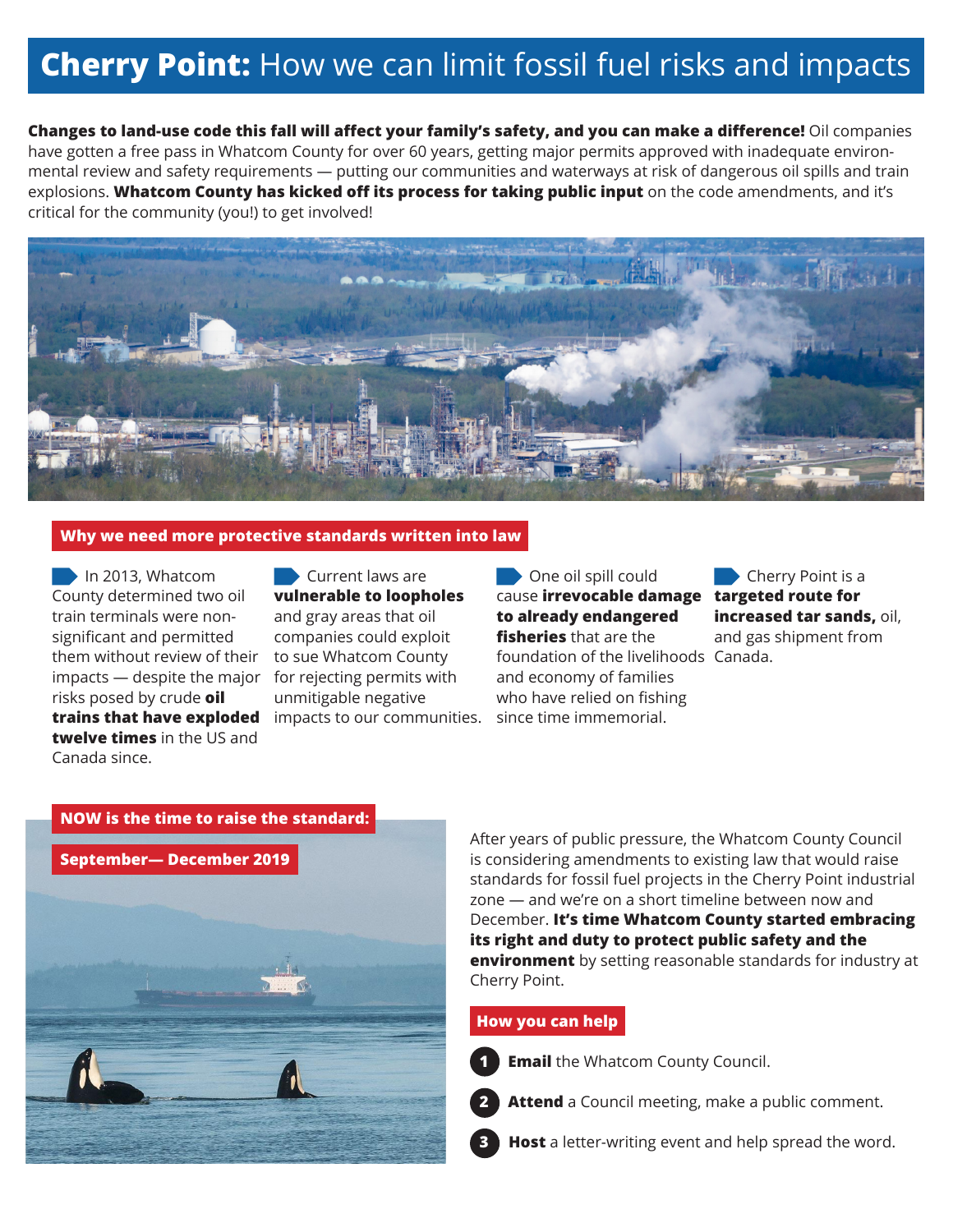# **Cherry Point:** How we can limit fossil fuel risks and impacts

**Changes to land-use code this fall will affect your family's safety, and you can make a difference!** Oil companies have gotten a free pass in Whatcom County for over 60 years, getting major permits approved with inadequate environmental review and safety requirements — putting our communities and waterways at risk of dangerous oil spills and train explosions. **Whatcom County has kicked off its process for taking public input** on the code amendments, and it's critical for the community (you!) to get involved!



#### **Why we need more protective standards written into law**

In 2013, Whatcom County determined two oil train terminals were nonsignificant and permitted them without review of their impacts — despite the major for rejecting permits with risks posed by crude **oil trains that have exploded twelve times** in the US and Canada since.

Current laws are **vulnerable to loopholes** and gray areas that oil companies could exploit to sue Whatcom County unmitigable negative impacts to our communities.

One oil spill could cause **irrevocable damage targeted route for to already endangered fisheries** that are the foundation of the livelihoods Canada.and economy of families who have relied on fishing since time immemorial.

Cherry Point is a **increased tar sands,** oil, and gas shipment from



After years of public pressure, the Whatcom County Council is considering amendments to existing law that would raise standards for fossil fuel projects in the Cherry Point industrial zone — and we're on a short timeline between now and December. **It's time Whatcom County started embracing its right and duty to protect public safety and the environment** by setting reasonable standards for industry at Cherry Point.

## **How you can help**

**2**

**3**

**1 Email** the Whatcom County Council.



**Host** a letter-writing event and help spread the word.